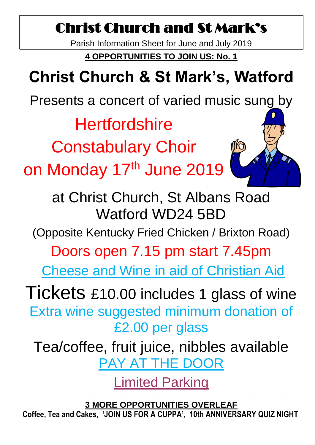## Christ Church and St Mark's

Parish Information Sheet for June and July 2019

**4 OPPORTUNITIES TO JOIN US: No. 1**

# **Christ Church & St Mark's, Watford**

Presents a concert of varied music sung by

**Hertfordshire** 

Constabulary Choir

on Monday 17th June 2019



at Christ Church, St Albans Road Watford WD24 5BD

(Opposite Kentucky Fried Chicken / Brixton Road)

Doors open 7.15 pm start 7.45pm

Cheese and Wine in aid of Christian Aid

Tickets £10.00 includes 1 glass of wine Extra wine suggested minimum donation of £2.00 per glass

Tea/coffee, fruit juice, nibbles available PAY AT THE DOOR

Limited Parking

- - - - - - - - - - - - - - - - - - - - - - - - - - - - - - - - - - - - - - - - - - - - - - - - - - - - - - - - - - - - - - - - - - - - - - - - - - - - - - **3 MORE OPPORTUNITIES OVERLEAF Coffee, Tea and Cakes, 'JOIN US FOR A CUPPA', 10th ANNIVERSARY QUIZ NIGHT**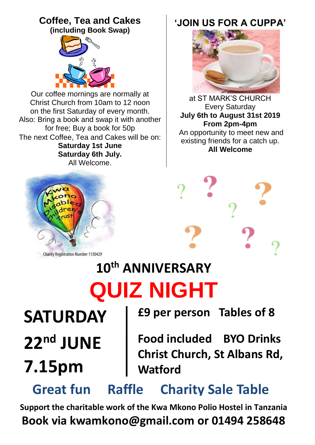## **Coffee, Tea and Cakes**

**(including Book Swap)**



Our coffee mornings are normally at Christ Church from 10am to 12 noon on the first Saturday of every month. Also: Bring a book and swap it with another for free; Buy a book for 50p The next Coffee, Tea and Cakes will be on: **Saturday 1st June Saturday 6th July.** All Welcome.



**Charity Registration Number 1130429** 

# **10th ANNIVERSARY QUIZ NIGHT**

**SATURDAY 22nd JUNE**

# **7.15pm**

**£9 per person Tables of 8**

**Food included BYO Drinks Christ Church, St Albans Rd, Watford** 

**Great fun Raffle Charity Sale Table**

**Support the charitable work of the Kwa Mkono Polio Hostel in Tanzania Book via kwamkono@gmail.com or 01494 258648**

### **'JOIN US FOR A CUPPA'**



at ST MARK'S CHURCH Every Saturday **July 6th to August 31st 2019 From 2pm-4pm** An opportunity to meet new and existing friends for a catch up. **All Welcome**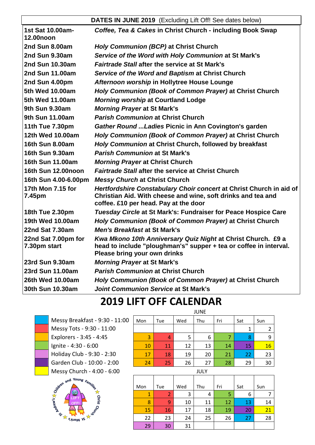#### **DATES IN JUNE 2019** (Excluding Lift Off! See dates below)

| 1st Sat 10.00am-<br><b>12.00noon</b> | Coffee, Tea & Cakes in Christ Church - including Book Swap                                                                                                                   |
|--------------------------------------|------------------------------------------------------------------------------------------------------------------------------------------------------------------------------|
| 2nd Sun 8.00am                       | Holy Communion (BCP) at Christ Church                                                                                                                                        |
| 2nd Sun 9.30am                       | Service of the Word with Holy Communion at St Mark's                                                                                                                         |
| <b>2nd Sun 10.30am</b>               | <b>Fairtrade Stall after the service at St Mark's</b>                                                                                                                        |
| <b>2nd Sun 11.00am</b>               | Service of the Word and Baptism at Christ Church                                                                                                                             |
| 2nd Sun 4.00pm                       | Afternoon worship in Hollytree House Lounge                                                                                                                                  |
| 5th Wed 10.00am                      | Holy Communion (Book of Common Prayer) at Christ Church                                                                                                                      |
| 5th Wed 11.00am                      | <b>Morning worship at Courtland Lodge</b>                                                                                                                                    |
| 9th Sun 9.30am                       | <b>Morning Prayer at St Mark's</b>                                                                                                                                           |
| 9th Sun 11,00am                      | <b>Parish Communion at Christ Church</b>                                                                                                                                     |
| 11th Tue 7.30pm                      | Gather Round  Ladies Picnic in Ann Covington's garden                                                                                                                        |
| 12th Wed 10.00am                     | Holy Communion (Book of Common Prayer) at Christ Church                                                                                                                      |
| 16th Sun 8.00am                      | Holy Communion at Christ Church, followed by breakfast                                                                                                                       |
| 16th Sun 9.30am                      | <b>Parish Communion at St Mark's</b>                                                                                                                                         |
| 16th Sun 11.00am                     | <b>Morning Prayer at Christ Church</b>                                                                                                                                       |
| 16th Sun 12.00noon                   | <b>Fairtrade Stall after the service at Christ Church</b>                                                                                                                    |
| 16th Sun 4.00-6.00pm                 | <b>Messy Church at Christ Church</b>                                                                                                                                         |
| 17th Mon 7.15 for<br>7.45pm          | Hertfordshire Constabulary Choir concert at Christ Church in aid of<br>Christian Aid. With cheese and wine, soft drinks and tea and<br>coffee. £10 per head. Pay at the door |
| 18th Tue 2.30pm                      | Tuesday Circle at St Mark's: Fundraiser for Peace Hospice Care                                                                                                               |
| 19th Wed 10.00am                     | Holy Communion (Book of Common Prayer) at Christ Church                                                                                                                      |
| 22nd Sat 7.30am                      | <b>Men's Breakfast at St Mark's</b>                                                                                                                                          |
| 22nd Sat 7.00pm for<br>7.30pm start  | Kwa Mkono 10th Anniversary Quiz Night at Christ Church. £9 a<br>head to include "ploughman's" supper + tea or coffee in interval.<br>Please bring your own drinks            |
| 23rd Sun 9.30am                      | <b>Morning Prayer at St Mark's</b>                                                                                                                                           |
| 23rd Sun 11.00am                     | <b>Parish Communion at Christ Church</b>                                                                                                                                     |
| 26th Wed 10.00am                     | Holy Communion (Book of Common Prayer) at Christ Church                                                                                                                      |
| 30th Sun 10.30am                     | Joint Communion Service at St Mark's                                                                                                                                         |
|                                      |                                                                                                                                                                              |

### **2019 LIFT OFF CALENDAR**

Messy Breakfast - 9:30 - 11:00 Messy Tots - 9:30 - 11:00 Explorers - 3:45 - 4:45 Ignite - 4:30 - 6:00 Holiday Club - 9:30 - 2:30 Garden Club - 10:00 - 2:00



| Wed<br>Thu<br>Mon<br>Fri<br>Sat<br>Sun<br>Tue<br>3<br>8<br>5<br>6<br>9<br>4 | <b>JUNE</b> |    |    |    |    |    |    |  |
|-----------------------------------------------------------------------------|-------------|----|----|----|----|----|----|--|
|                                                                             |             |    |    |    |    |    |    |  |
|                                                                             |             |    |    |    |    |    | 2  |  |
|                                                                             |             |    |    |    |    |    |    |  |
|                                                                             | 10          | 11 | 12 | 13 | 14 | 15 | 16 |  |
| 18<br>19<br>20<br>22<br>23<br>21<br>17                                      |             |    |    |    |    |    |    |  |
| 24<br>26<br>27<br>28<br>29<br>30<br>25                                      |             |    |    |    |    |    |    |  |

| Messy Church - 4:00 - 6:00 | JULY |     |     |     |     |     |     |
|----------------------------|------|-----|-----|-----|-----|-----|-----|
| en and Young Families      | Mon  | Tue | Wed | Thu | Fri | Sat | Sun |
|                            | 1    |     | 3   | 4   | 5   | 6   |     |
|                            | 8    | 9   | 10  | 11  | 12  | 13  | 14  |
|                            | 15   | 16  | 17  | 18  | 19  | 20  | 21  |
| <b>SYTIEM JS</b>           | 22   | 23  | 24  | 25  | 26  | 27  | 28  |
|                            | 29   | 30  | 31  |     |     |     |     |